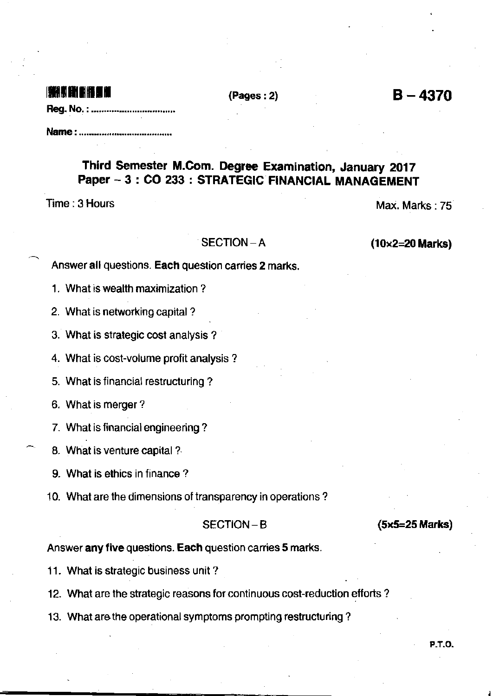## i milita ar bhfuil an coiseacha an coiseach an coiseach an coiseach an coiseach an coiseach an coiseach an coi

 $(Pages: 2)$   $B-4370$ 

|--|--|--|--|

Name : .....,...............................

## Third Semester M.Com. Degree Examination, January 2017 Paper - 3 : CO 233 : STRATEGIC FINANCIAL MANAGEMENT

Time : 3 Hours Max. Marks : 75

 $SECTION - A$  (10x2=20 Marks)

Answer all questions. Each question carries 2 marks.

1. What is wealth maximization ?

2. What is networking capital ?

3. What is strategic cost analysis ?

4. What is cost-volume profit analysis ?

5. What is financial restructuring?

6. What is merger ?

7. What is financial engineering ?

8. What is venture capital ?

9. What is ethics in finance?

10. What are the dimensions of transparency in operations?

SECTION-B (5x5=25 Marks)

Answer any five questions. Each question carries 5 marks.

11. What is strategic business unit?

12. What are the strategic reasons for continuous cosl-reduction efforts ?

13. What are the operational symptoms prompting restructuring?